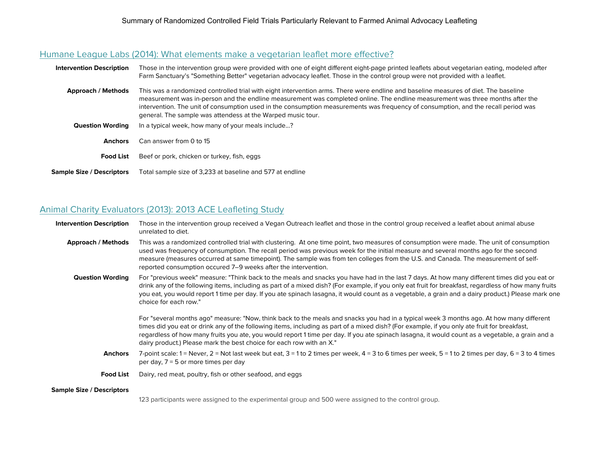#### [Humane League Labs \(2014\): What elements make a vegetarian leaflet more effective?](http://www.humaneleaguelabs.org/blog/2014-05-20-what-elements-make-vegetarian-leaflet-more-effective/)

| <b>Intervention Description</b>  | Those in the intervention group were provided with one of eight different eight-page printed leaflets about vegetarian eating, modeled after<br>Farm Sanctuary's "Something Better" vegetarian advocacy leaflet. Those in the control group were not provided with a leaflet.                                                                                                                                                                                              |
|----------------------------------|----------------------------------------------------------------------------------------------------------------------------------------------------------------------------------------------------------------------------------------------------------------------------------------------------------------------------------------------------------------------------------------------------------------------------------------------------------------------------|
| <b>Approach / Methods</b>        | This was a randomized controlled trial with eight intervention arms. There were endline and baseline measures of diet. The baseline<br>measurement was in-person and the endline measurement was completed online. The endline measurement was three months after the<br>intervention. The unit of consumption used in the consumption measurements was frequency of consumption, and the recall period was<br>general. The sample was attendess at the Warped music tour. |
| <b>Question Wording</b>          | In a typical week, how many of your meals include?                                                                                                                                                                                                                                                                                                                                                                                                                         |
| <b>Anchors</b>                   | Can answer from 0 to 15                                                                                                                                                                                                                                                                                                                                                                                                                                                    |
| <b>Food List</b>                 | Beef or pork, chicken or turkey, fish, eggs                                                                                                                                                                                                                                                                                                                                                                                                                                |
| <b>Sample Size / Descriptors</b> | Total sample size of 3,233 at baseline and 577 at endline                                                                                                                                                                                                                                                                                                                                                                                                                  |

## [Animal Charity Evaluators \(2013\): 2013 ACE Leafleting Study](https://animalcharityevaluators.org/research/interventions/leafleting/2013-leafleting-study)

| <b>Intervention Description</b>  | Those in the intervention group received a Vegan Outreach leaflet and those in the control group received a leaflet about animal abuse<br>unrelated to diet.                                                                                                                                                                                                                                                                                                                                                         |
|----------------------------------|----------------------------------------------------------------------------------------------------------------------------------------------------------------------------------------------------------------------------------------------------------------------------------------------------------------------------------------------------------------------------------------------------------------------------------------------------------------------------------------------------------------------|
| <b>Approach / Methods</b>        | This was a randomized controlled trial with clustering. At one time point, two measures of consumption were made. The unit of consumption<br>used was frequency of consumption. The recall period was previous week for the initial measure and several months ago for the second<br>measure (measures occurred at same timepoint). The sample was from ten colleges from the U.S. and Canada. The measurement of self-<br>reported consumption occured 7–9 weeks after the intervention.                            |
| <b>Question Wording</b>          | For "previous week" measure: "Think back to the meals and snacks you have had in the last 7 days. At how many different times did you eat or<br>drink any of the following items, including as part of a mixed dish? (For example, if you only eat fruit for breakfast, regardless of how many fruits<br>you eat, you would report 1 time per day. If you ate spinach lasagna, it would count as a vegetable, a grain and a dairy product.) Please mark one<br>choice for each row."                                 |
|                                  | For "several months ago" measure: "Now, think back to the meals and snacks you had in a typical week 3 months ago. At how many different<br>times did you eat or drink any of the following items, including as part of a mixed dish? (For example, if you only ate fruit for breakfast,<br>regardless of how many fruits you ate, you would report 1 time per day. If you ate spinach lasagna, it would count as a vegetable, a grain and a<br>dairy product.) Please mark the best choice for each row with an X." |
| <b>Anchors</b>                   | 7-point scale: 1 = Never, 2 = Not last week but eat, 3 = 1 to 2 times per week, 4 = 3 to 6 times per week, 5 = 1 to 2 times per day, 6 = 3 to 4 times<br>per day, $7 = 5$ or more times per day                                                                                                                                                                                                                                                                                                                      |
| <b>Food List</b>                 | Dairy, red meat, poultry, fish or other seafood, and eggs                                                                                                                                                                                                                                                                                                                                                                                                                                                            |
| <b>Sample Size / Descriptors</b> |                                                                                                                                                                                                                                                                                                                                                                                                                                                                                                                      |
|                                  | 123 participants were assigned to the experimental group and 500 were assigned to the control group.                                                                                                                                                                                                                                                                                                                                                                                                                 |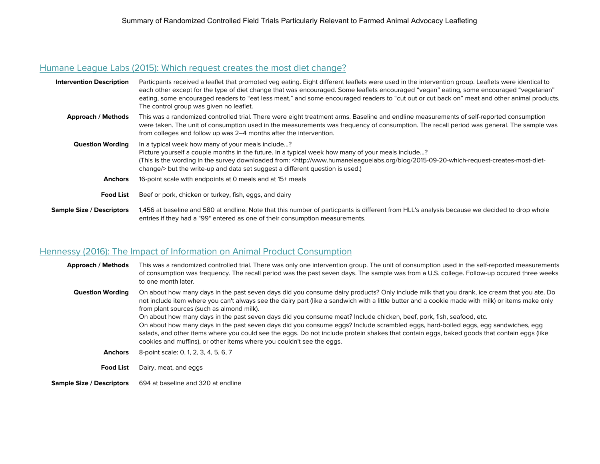# [Humane League Labs \(2015\): Which request creates the most diet change?](http://www.humaneleaguelabs.org/blog/2015-09-20-which-request-creates-most-diet-change/)

| <b>Intervention Description</b>  | Particpants received a leaflet that promoted veg eating. Eight different leaflets were used in the intervention group. Leaflets were identical to<br>each other except for the type of diet change that was encouraged. Some leaflets encouraged "vegan" eating, some encouraged "vegetarian"<br>eating, some encouraged readers to "eat less meat," and some encouraged readers to "cut out or cut back on" meat and other animal products.<br>The control group was given no leaflet. |
|----------------------------------|-----------------------------------------------------------------------------------------------------------------------------------------------------------------------------------------------------------------------------------------------------------------------------------------------------------------------------------------------------------------------------------------------------------------------------------------------------------------------------------------|
| <b>Approach / Methods</b>        | This was a randomized controlled trial. There were eight treatment arms. Baseline and endline measurements of self-reported consumption<br>were taken. The unit of consumption used in the measurements was frequency of consumption. The recall period was general. The sample was<br>from colleges and follow up was 2–4 months after the intervention.                                                                                                                               |
| <b>Question Wording</b>          | In a typical week how many of your meals include?<br>Picture yourself a couple months in the future. In a typical week how many of your meals include?<br>(This is the wording in the survey downloaded from: <http: 2015-09-20-which-request-creates-most-diet-<br="" blog="" www.humaneleaguelabs.org="">change/&gt; but the write-up and data set suggest a different question is used.)</http:>                                                                                     |
| <b>Anchors</b>                   | 16-point scale with endpoints at 0 meals and at 15+ meals                                                                                                                                                                                                                                                                                                                                                                                                                               |
| <b>Food List</b>                 | Beef or pork, chicken or turkey, fish, eggs, and dairy                                                                                                                                                                                                                                                                                                                                                                                                                                  |
| <b>Sample Size / Descriptors</b> | 1,456 at baseline and 580 at endline. Note that this number of particpants is different from HLL's analysis because we decided to drop whole<br>entries if they had a "99" entered as one of their consumption measurements.                                                                                                                                                                                                                                                            |

# [Hennessy \(2016\): The Impact of Information on Animal Product Consumption](http://hdl.handle.net/2142/92865)

| <b>Approach / Methods</b>        | This was a randomized controlled trial. There was only one intervention group. The unit of consumption used in the self-reported measurements<br>of consumption was frequency. The recall period was the past seven days. The sample was from a U.S. college. Follow-up occured three weeks<br>to one month later.                                                                                                                                                                                                                                                                                                                                                                                                                                                                                                              |
|----------------------------------|---------------------------------------------------------------------------------------------------------------------------------------------------------------------------------------------------------------------------------------------------------------------------------------------------------------------------------------------------------------------------------------------------------------------------------------------------------------------------------------------------------------------------------------------------------------------------------------------------------------------------------------------------------------------------------------------------------------------------------------------------------------------------------------------------------------------------------|
| <b>Question Wording</b>          | On about how many days in the past seven days did you consume dairy products? Only include milk that you drank, ice cream that you ate. Do<br>not include item where you can't always see the dairy part (like a sandwich with a little butter and a cookie made with milk) or items make only<br>from plant sources (such as almond milk).<br>On about how many days in the past seven days did you consume meat? Include chicken, beef, pork, fish, seafood, etc.<br>On about how many days in the past seven days did you consume eggs? Include scrambled eggs, hard-boiled eggs, egg sandwiches, egg<br>salads, and other items where you could see the eggs. Do not include protein shakes that contain eggs, baked goods that contain eggs (like<br>cookies and muffins), or other items where you couldn't see the eggs. |
| <b>Anchors</b>                   | 8-point scale: 0, 1, 2, 3, 4, 5, 6, 7                                                                                                                                                                                                                                                                                                                                                                                                                                                                                                                                                                                                                                                                                                                                                                                           |
| <b>Food List</b>                 | Dairy, meat, and eggs                                                                                                                                                                                                                                                                                                                                                                                                                                                                                                                                                                                                                                                                                                                                                                                                           |
| <b>Sample Size / Descriptors</b> | 694 at baseline and 320 at endline                                                                                                                                                                                                                                                                                                                                                                                                                                                                                                                                                                                                                                                                                                                                                                                              |